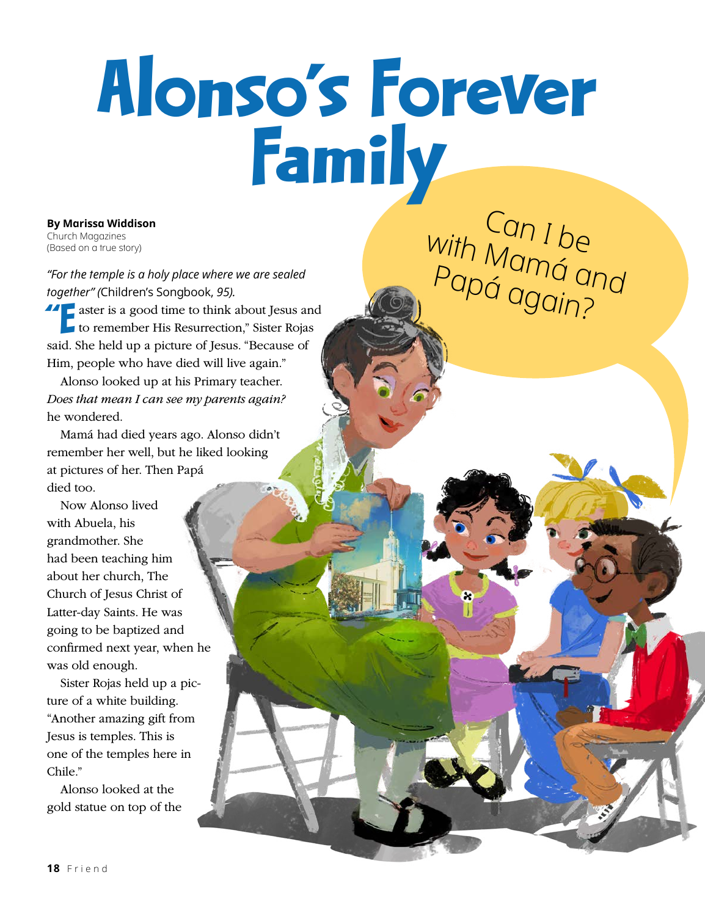## Alonso's Forever Family

Can I be

with Mamá and<br>Papá agai <sup>and</sup>

Papá again?<br><sup>?</sup>Papá again

**By Marissa Widdison** Church Magazines (Based on a true story)

*"For the temple is a holy place where we are sealed together" (*Children's Songbook, *95).* **E** aster is a good time to think about Jesus and

to remember His Resurrection," Sister Rojas said. She held up a picture of Jesus. "Because of Him, people who have died will live again."

Alonso looked up at his Primary teacher. *Does that mean I can see my parents again?* he wondered.

Mamá had died years ago. Alonso didn't remember her well, but he liked looking at pictures of her. Then Papá died too.

Now Alonso lived with Abuela, his grandmother. She had been teaching him about her church, The Church of Jesus Christ of Latter-day Saints. He was going to be baptized and confirmed next year, when he was old enough.

Sister Rojas held up a picture of a white building. "Another amazing gift from Jesus is temples. This is one of the temples here in Chile."

Alonso looked at the gold statue on top of the